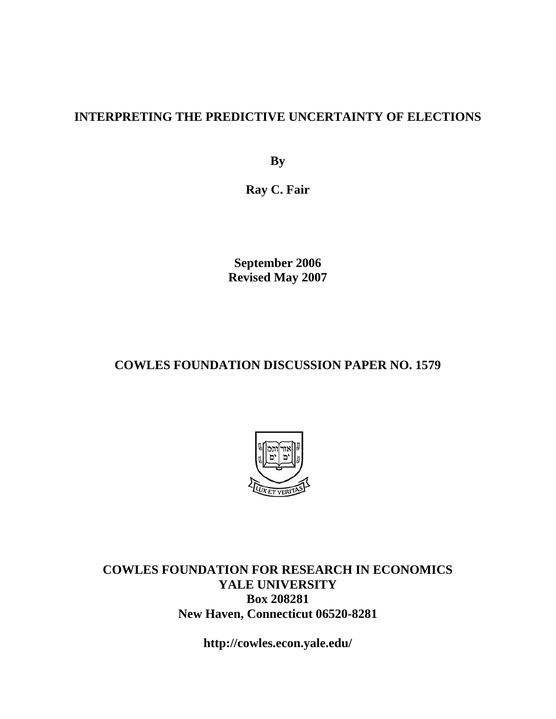## **INTERPRETING THE PREDICTIVE UNCERTAINTY OF ELECTIONS**

**By** 

**Ray C. Fair** 

**September 2006 Revised May 2007** 

## **COWLES FOUNDATION DISCUSSION PAPER NO. 1579**



**COWLES FOUNDATION FOR RESEARCH IN ECONOMICS YALE UNIVERSITY Box 208281 New Haven, Connecticut 06520-8281** 

**http://cowles.econ.yale.edu/**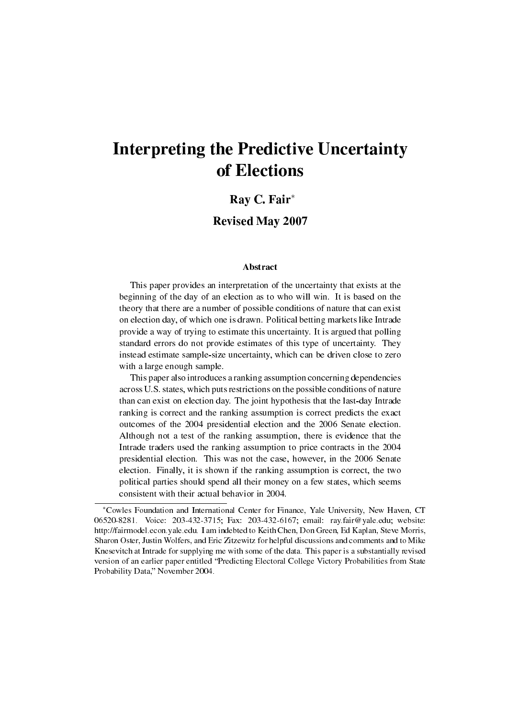# Interpreting the Predictive Uncertainty of Elections

### Ray C. Fair*<sup>∗</sup>*

### Revised May 2007

#### Abstract

This paper provides an interpretation of the uncertainty that exists at the beginning of the day of an election as to who will win. It is based on the theory that there are a number of possible conditions of nature that can exist on election day, of which one is drawn. Political betting markets like Intrade provide a way of trying to estimate this uncertainty. It is argued that polling standard errors do not provide estimates of this type of uncertainty. They instead estimate sample-size uncertainty, which can be driven close to zero with a large enough sample.

This paper also introduces a ranking assumption concerning dependencies across U.S. states, which puts restrictions on the possible conditions of nature than can exist on election day. The joint hypothesis that the last-day Intrade ranking is correct and the ranking assumption is correct predicts the exact outcomes of the 2004 presidential election and the 2006 Senate election. Although not a test of the ranking assumption, there is evidence that the Intrade traders used the ranking assumption to price contracts in the 2004 presidential election. This was not the case, however, in the 2006 Senate election. Finally, it is shown if the ranking assumption is correct, the two political parties should spend all their money on a few states, which seems consistent with their actual behavior in 2004.

*<sup>∗</sup>*Cowles Foundation and International Center for Finance, Yale University, New Haven, CT 06520-8281. Voice: 203-432-3715; Fax: 203-432-6167; email: ray.fair@yale.edu; website: http://fairmodel.econ.yale.edu. I am indebted to Keith Chen, Don Green, Ed Kaplan, Steve Morris, Sharon Oster, Justin Wolfers, and Eric Zitzewitz for helpful discussions and comments and to Mike Knesevitch at Intrade for supplying me with some of the data. This paper is a substantially revised version of an earlier paper entitled "Predicting Electoral College Victory Probabilities from State Probability Data," November 2004.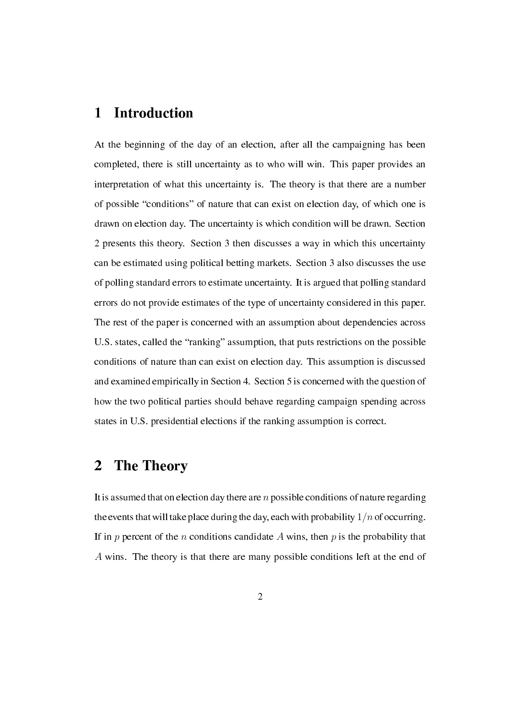## 1 Introduction

At the beginning of the day of an election, after all the campaigning has been completed, there is still uncertainty as to who will win. This paper provides an interpretation of what this uncertainty is. The theory is that there are a number of possible "conditions" of nature that can exist on election day, of which one is drawn on election day. The uncertainty is which condition will be drawn. Section 2 presents this theory. Section 3 then discusses a way in which this uncertainty can be estimated using political betting markets. Section 3 also discusses the use of polling standard errors to estimate uncertainty. It is argued that polling standard errors do not provide estimates of the type of uncertainty considered in this paper. The rest of the paper is concerned with an assumption about dependencies across U.S. states, called the "ranking" assumption, that puts restrictions on the possible conditions of nature than can exist on election day. This assumption is discussed and examined empirically in Section 4. Section 5 is concerned with the question of how the two political parties should behave regarding campaign spending across states in U.S. presidential elections if the ranking assumption is correct.

## 2 The Theory

It is assumed that on election day there are *n* possible conditions of nature regarding the events that will take place during the day, each with probability 1*/n*of occurring. If in  $p$  percent of the  $n$  conditions candidate  $A$  wins, then  $p$  is the probability that *A* wins. The theory is that there are many possible conditions left at the end of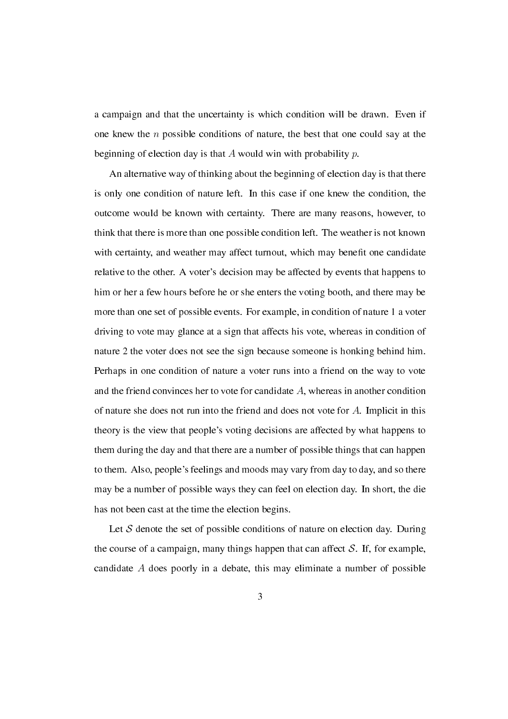a campaign and that the uncertainty is which condition will be drawn. Even if one knew the *n* possible conditions of nature, the best that one could say at the beginning of election day is that *A* would win with probability *p*.

An alternative way of thinking about the beginning of election day is that there is only one condition of nature left. In this case if one knew the condition, the outcome would be known with certainty. There are many reasons, however, to think that there is more than one possible condition left. The weather is not known with certainty, and weather may affect turnout, which may benefit one candidate relative to the other. A voter's decision may be affected by events that happens to him or her a few hours before he or she enters the voting booth, and there may be more than one set of possible events. For example, in condition of nature 1 a voter driving to vote may glance at a sign that affects his vote, whereas in condition of nature 2 the voter does not see the sign because someone is honking behind him. Perhaps in one condition of nature a voter runs into a friend on the way to vote and the friend convinces her to vote for candidate *A*, whereas in another condition of nature she does not run into the friend and does not vote for *A*. Implicit in this theory is the view that people's voting decisions are affected by what happens to them during the day and that there are a number of possible things that can happen to them. Also, people's feelings and moods may vary from day to day, and so there may be a number of possible ways they can feel on election day. In short, the die has not been cast at the time the election begins.

Let S denote the set of possible conditions of nature on election day. During the course of a campaign, many things happen that can affect  $S$ . If, for example, candidate *A* does poorly in a debate, this may eliminate a number of possible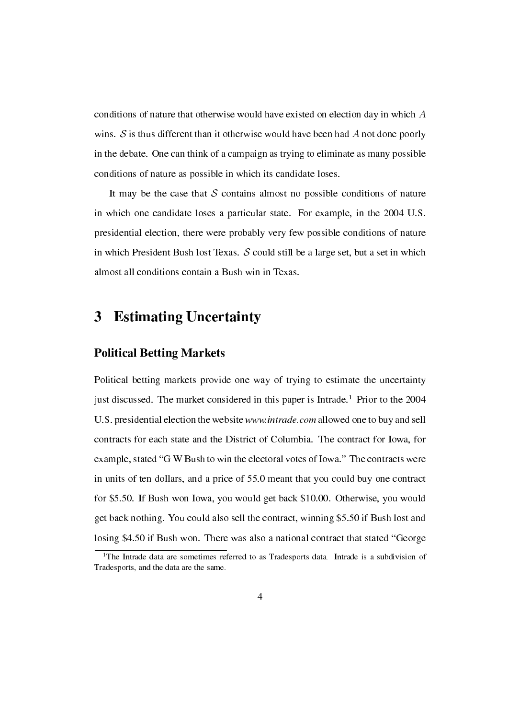conditions of nature that otherwise would have existed on election day in which *A* wins. *S* is thus different than it otherwise would have been had *A* not done poorly in the debate. One can think of a campaign as trying to eliminate as many possible conditions of nature as possible in which its candidate loses.

It may be the case that  $S$  contains almost no possible conditions of nature in which one candidate loses a particular state. For example, in the 2004 U.S. presidential election, there were probably very few possible conditions of nature in which President Bush lost Texas. *S* could still be a large set, but a set in which almost all conditions contain a Bush win in Texas.

## 3 Estimating Uncertainty

### Political Betting Markets

Political betting markets provide one way of trying to estimate the uncertainty just discussed. The market considered in this paper is Intrade.<sup>1</sup> Prior to the 2004 U.S. presidential election the website www.intrade.com allowed one to buy and sell contracts for each state and the District of Columbia. The contract for Iowa, for example, stated "G W Bush to win the electoral votes of Iowa." The contracts were in units of ten dollars, and a price of 55.0 meant that you could buy one contract for \$5.50. If Bush won Iowa, you would get back \$10.00. Otherwise, you would get back nothing. You could also sell the contract, winning \$5.50 if Bush lost and losing \$4.50 if Bush won. There was also a national contract that stated "George

<sup>&</sup>lt;sup>1</sup>The Intrade data are sometimes referred to as Tradesports data. Intrade is a subdivision of Tradesports, and the data are the same.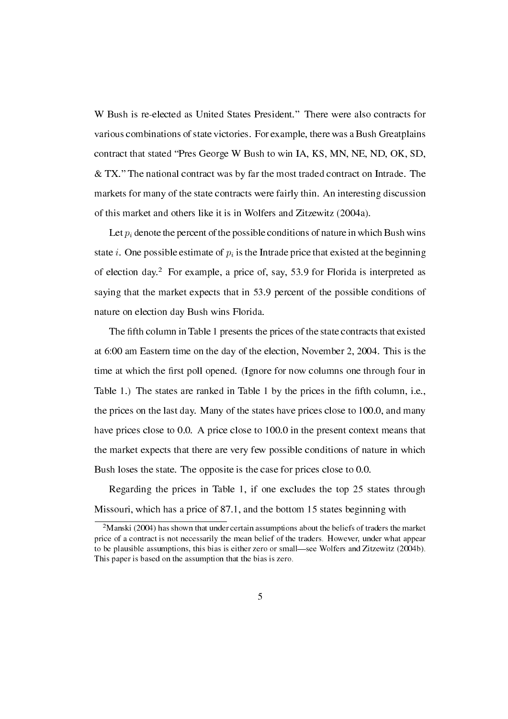W Bush is re-elected as United States President." There were also contracts for various combinations of state victories. For example, there was a Bush Greatplains contract that stated "Pres George W Bush to win IA, KS, MN, NE, ND, OK, SD, & TX. The national contract was by far the most traded contract on Intrade. The markets for many of the state contracts were fairly thin. An interesting discussion of this market and others like it is in Wolfers and Zitzewitz (2004a).

Let  $p_i$  denote the percent of the possible conditions of nature in which Bush wins state *i*. One possible estimate of  $p_i$  is the Intrade price that existed at the beginning of election day.<sup>2</sup> For example, a price of, say, 53.9 for Florida is interpreted as saying that the market expects that in 53.9 percent of the possible conditions of nature on election day Bush wins Florida.

The fth column in Table 1 presents the prices of the state contracts that existed at 6:00 am Eastern time on the day of the election, November 2, 2004. This is the time at which the first poll opened. (Ignore for now columns one through four in Table 1.) The states are ranked in Table 1 by the prices in the fifth column, i.e., the prices on the last day. Many of the states have prices close to 100.0, and many have prices close to 0.0. A price close to 100.0 in the present context means that the market expects that there are very few possible conditions of nature in which Bush loses the state. The opposite is the case for prices close to 0.0.

Regarding the prices in Table 1, if one excludes the top 25 states through Missouri, which has a price of 87.1, and the bottom 15 states beginning with

 $2$ Manski (2004) has shown that under certain assumptions about the beliefs of traders the market price of a contract is not necessarily the mean belief of the traders. However, under what appear to be plausible assumptions, this bias is either zero or small—see Wolfers and Zitzewitz (2004b). This paper is based on the assumption that the bias is zero.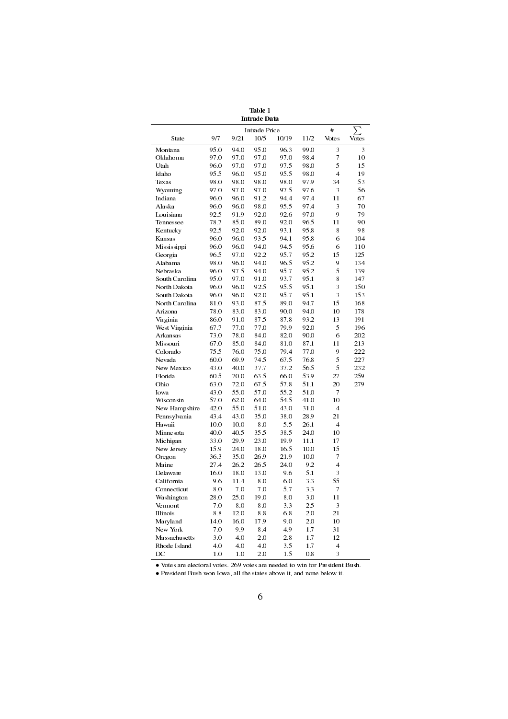|                |      |              | <b>Intrade Data</b>  |       |              |                          |                         |
|----------------|------|--------------|----------------------|-------|--------------|--------------------------|-------------------------|
|                |      |              | <b>Intrade Price</b> |       |              | #                        |                         |
| State          | 9/7  | 9/21         | 10/5                 | 10/19 | 11/2         | Votes                    | Votes                   |
| Montana        | 95.0 | 94.0         | 95.0                 | 96.3  | 99.0         | 3                        | $\overline{\mathbf{3}}$ |
| Oklahoma       | 97.0 | 97.0         | 97.0                 | 97.0  | 98.4         | 7                        | 10                      |
| Utah           | 96.0 | 97.0         | 97.0                 | 97.5  | 98.0         | 5                        | 15                      |
| Idaho          | 95.5 | 96.0         | 95.0                 | 95.5  | 98.0         | $\overline{4}$           | 19                      |
| <b>Texas</b>   | 98.0 | 98.0         | 98.0                 | 98.0  | 97.9         | 34                       | 53                      |
| Wyoming        | 97.0 | 97.0         | 97.0                 | 97.5  | 97.6         | 3                        | 56                      |
| Indiana        | 96.0 | 96.0         | 91.2                 | 94.4  | 97.4         | 11                       | 67                      |
| Alaska         | 96.0 | 96.0         | 98.0                 | 95.5  | 97.4         | 3                        | 70                      |
| Louisiana      | 92.5 | 91.9         | 92.0                 | 92.6  | 97.0         | 9                        | 79                      |
| Tennessee      | 78.7 | 85.0         | 89.0                 | 92.0  | 96.5         | 11                       | 90                      |
| Kentucky       | 92.5 | 92.0         | 92.0                 | 93.1  | 95.8         | 8                        | 98                      |
| Kansas         | 96.0 | 96.0         | 93.5                 | 94.1  | 95.8         | 6                        | 104                     |
| Mississippi    | 96.0 | 96.0         | 94.0                 | 94.5  | 95.6         | 6                        | 110                     |
| Georgia        | 96.5 | 97.0         | 92.2                 | 95.7  | 95.2         | 15                       | 125                     |
| Alabama        | 98.0 | 96.0         | 94.0                 | 96.5  | 95.2         | 9                        | 134                     |
| Nebraska       | 96.0 | 97.5         | 94.0                 | 95.7  | 95.2         | 5                        | 139                     |
| South Carolina | 95.0 | 97.0         | 91.0                 | 93.7  | 95.1         | 8                        | 147                     |
| North Dakota   | 96.0 | 96.0         | 92.5                 | 95.5  | 95.1         | 3                        | 150                     |
| South Dakota   | 96.0 | 96.0         | 92.0                 | 95.7  | 95.1         | 3                        | 153                     |
| North Carolina | 81.0 | 93.0         | 87.5                 | 89.0  | 94.7         | 15                       | 168                     |
| Arizona        | 78.0 | 83.0         | 83.0                 | 90.0  | 94.0         | 10                       | 178                     |
| Virginia       | 86.0 | 91.0         | 87.5                 | 87.8  | 93.2         | 13                       | 191                     |
| West Virginia  | 67.7 | 77.0         | 77.0                 | 79.9  | 92.0         | 5                        | 196                     |
| Arkansas       | 73.0 | 78.0         | 84.0                 | 82.0  | 90.0         | 6                        | 202                     |
| Missouri       | 67.0 | 85.0         | 84.0                 | 81.0  | 87.1         | 11                       | 213                     |
| Colorado       | 75.5 | 76.0         | 75.0                 | 79.4  | 77.0         | 9                        | 222                     |
| Nevada         | 60.0 | 69.9         | 74.5                 | 67.5  | 76.8         | 5                        | 227                     |
| New Mexico     | 43.0 | 40.0         | 37.7                 | 37.2  | 56.5         | 5                        | 232                     |
| Florida        | 60.5 | 70.0         | 63.5                 | 66.0  | 53.9         | 27                       | 259                     |
| Ohio           | 63.0 | 72.0         | 67.5                 | 57.8  | 51.1         | 20                       | 279                     |
| Iowa           | 43.0 | 55.0         | 57.0                 | 55.2  | 51.0         | 7                        |                         |
| Wisconsin      | 57.0 | 62.0         | 64.0                 | 54.5  | 41.0         | 10                       |                         |
| New Hampshire  | 42.0 | 55.0         | 51.0                 | 43.0  | 31.0         | $\overline{4}$           |                         |
| Pennsylvania   | 43.4 | 43.0         | 35.0                 | 38.0  | 28.9         | 21                       |                         |
| <b>Hawaii</b>  | 10.0 | 10.0         | 8.0                  | 5.5   | 26.1         | $\overline{4}$           |                         |
| Minnesota      | 40.0 | 40.5         | 35.5                 | 38.5  | 24.0         | 10                       |                         |
|                |      |              |                      | 19.9  |              |                          |                         |
| Michigan       | 33.0 | 29.9<br>24.0 | 23.0<br>18.0         |       | 11.1<br>10.0 | 17                       |                         |
| New Jersey     | 15.9 |              |                      | 16.5  |              | 15                       |                         |
| Oregon         | 36.3 | 35.0         | 26.9                 | 21.9  | 10.0         | $\overline{7}$           |                         |
| Maine          | 27.4 | 26.2         | 26.5                 | 24.0  | 9.2          | $\overline{4}$           |                         |
| Delaware       | 16.0 | 18.0         | 13.0                 | 9.6   | 5.1          | 3                        |                         |
| California     | 9.6  | 11.4         | 8.0                  | 6.0   | 3.3          | 55                       |                         |
| Connecticut    | 8.0  | 7.0          | 7.0                  | 5.7   | 3.3          | 7                        |                         |
| Washington     | 28.0 | 25.0         | 19.0                 | 8.0   | 3.0          | 11                       |                         |
| Vermont        | 7.0  | 8.0          | 0.8                  | 3.3   | 2.5          | 3                        |                         |
| Illinois       | 8.8  | 12.0         | 8.8                  | 6.8   | 2.0          | 21                       |                         |
| Maryland       | 14.0 | 16.0         | 17.9                 | 9.0   | 2.0          | 10                       |                         |
| New York       | 7.0  | 9.9          | 8.4                  | 4.9   | 1.7          | 31                       |                         |
| Massachusetts  | 3.0  | 4.0          | 2.0                  | 2.8   | 1.7          | 12                       |                         |
| Rhode Island   | 4.0  | 4.0          | 4.0                  | 3.5   | 1.7          | $\overline{\mathcal{L}}$ |                         |
| DC             | 1.0  | 1.0          | 2.0                  | 1.5   | 0.8          | 3                        |                         |

Table 1

*•* Votes are electoral votes. 269 votes are needed to win for President Bush.

*•* President Bush won Iowa, all the states above it, and none below it.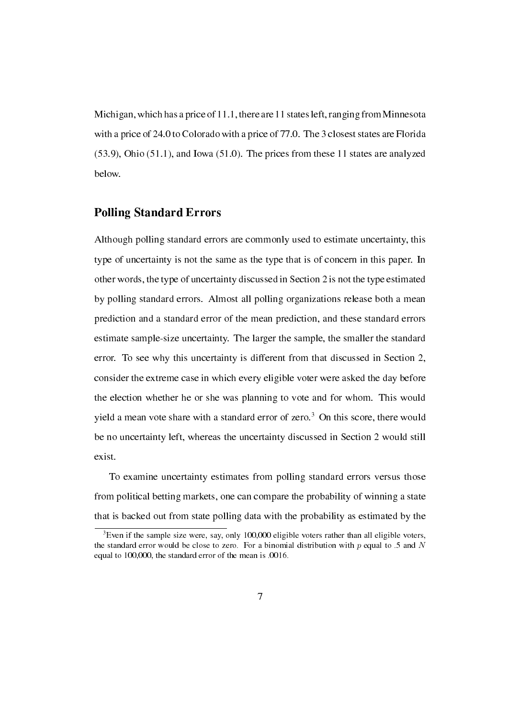Michigan, which has a price of 11.1, there are 11 states left, ranging fromMinnesota with a price of 24.0 to Colorado with a price of 77.0. The 3 closest states are Florida (53.9), Ohio (51.1), and Iowa (51.0). The prices from these 11 states are analyzed below.

### Polling Standard Errors

Although polling standard errors are commonly used to estimate uncertainty, this type of uncertainty is not the same as the type that is of concern in this paper. In other words, the type of uncertainty discussed in Section 2 is not the type estimated by polling standard errors. Almost all polling organizations release both a mean prediction and a standard error of the mean prediction, and these standard errors estimate sample-size uncertainty. The larger the sample, the smaller the standard error. To see why this uncertainty is different from that discussed in Section 2, consider the extreme case in which every eligible voter were asked the day before the election whether he or she was planning to vote and for whom. This would yield a mean vote share with a standard error of zero.<sup>3</sup> On this score, there would be no uncertainty left, whereas the uncertainty discussed in Section 2 would still exist.

To examine uncertainty estimates from polling standard errors versus those from political betting markets, one can compare the probability of winning a state that is backed out from state polling data with the probability as estimated by the

<sup>&</sup>lt;sup>3</sup>Even if the sample size were, say, only 100,000 eligible voters rather than all eligible voters, the standard error would be close to zero. For a binomial distribution with *p* equal to .5 and *N* equal to 100,000, the standard error of the mean is .0016.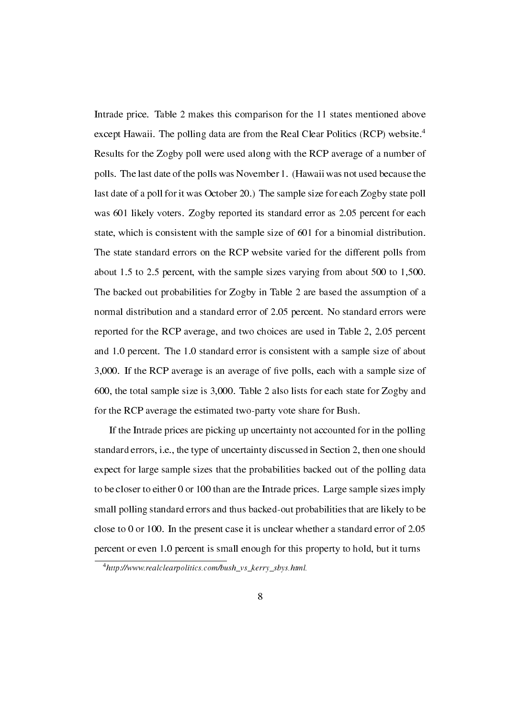Intrade price. Table 2 makes this comparison for the 11 states mentioned above except Hawaii. The polling data are from the Real Clear Politics (RCP) website.<sup>4</sup> Results for the Zogby poll were used along with the RCP average of a number of polls. The last date of the polls was November 1. (Hawaii was not used because the last date of a poll for it was October 20.) The sample size for each Zogby state poll was 601 likely voters. Zogby reported its standard error as 2.05 percent for each state, which is consistent with the sample size of 601 for a binomial distribution. The state standard errors on the RCP website varied for the different polls from about 1.5 to 2.5 percent, with the sample sizes varying from about 500 to 1,500. The backed out probabilities for Zogby in Table 2 are based the assumption of a normal distribution and a standard error of 2.05 percent. No standard errors were reported for the RCP average, and two choices are used in Table 2, 2.05 percent and 1.0 percent. The 1.0 standard error is consistent with a sample size of about 3,000. If the RCP average is an average of five polls, each with a sample size of 600, the total sample size is 3,000. Table 2 also lists for each state for Zogby and for the RCP average the estimated two-party vote share for Bush.

If the Intrade prices are picking up uncertainty not accounted for in the polling standard errors, i.e., the type of uncertainty discussed in Section 2, then one should expect for large sample sizes that the probabilities backed out of the polling data to be closer to either 0 or 100 than are the Intrade prices. Large sample sizes imply small polling standard errors and thus backed-out probabilities that are likely to be close to 0 or 100. In the present case it is unclear whether a standard error of 2.05 percent or even 1.0 percent is small enough for this property to hold, but it turns

<sup>4</sup>http://www.realclearpolitics.com/bush\_vs\_kerry\_sbys.html.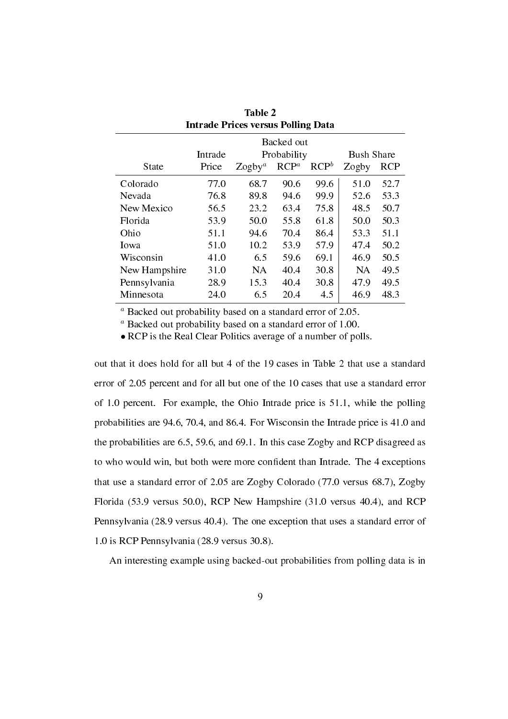| <b>Intrade Prices versus Polling Data</b> |         |           |             |         |                   |            |
|-------------------------------------------|---------|-----------|-------------|---------|-------------------|------------|
|                                           |         |           | Backed out  |         |                   |            |
|                                           | Intrade |           | Probability |         | <b>Bush Share</b> |            |
| <b>State</b>                              | Price   | $Zogby^a$ | $RCP^a$     | $RCP^b$ | Zogby             | <b>RCP</b> |
| Colorado                                  | 77.0    | 68.7      | 90.6        | 99.6    | 51.0              | 52.7       |
| Nevada                                    | 76.8    | 89.8      | 94.6        | 99.9    | 52.6              | 53.3       |
| New Mexico                                | 56.5    | 23.2      | 63.4        | 75.8    | 48.5              | 50.7       |
| Florida                                   | 53.9    | 50.0      | 55.8        | 61.8    | 50.0              | 50.3       |
| Ohio                                      | 51.1    | 94.6      | 70.4        | 86.4    | 53.3              | 51.1       |
| Iowa                                      | 51.0    | 10.2      | 53.9        | 57.9    | 47.4              | 50.2       |
| Wisconsin                                 | 41.0    | 6.5       | 59.6        | 69.1    | 46.9              | 50.5       |
| New Hampshire                             | 31.0    | NA.       | 40.4        | 30.8    | <b>NA</b>         | 49.5       |
| Pennsylvania                              | 28.9    | 15.3      | 40.4        | 30.8    | 47.9              | 49.5       |
| Minnesota                                 | 24.0    | 6.5       | 20.4        | 4.5     | 46.9              | 48.3       |

| Table 2                                   |
|-------------------------------------------|
| <b>Intrade Prices versus Polling Data</b> |

*<sup>a</sup>* Backed out probability based on a standard error of 2.05.

*<sup>a</sup>* Backed out probability based on a standard error of 1.00.

• RCP is the Real Clear Politics average of a number of polls.

out that it does hold for all but 4 of the 19 cases in Table 2 that use a standard error of 2.05 percent and for all but one of the 10 cases that use a standard error of 1.0 percent. For example, the Ohio Intrade price is 51.1, while the polling probabilities are 94.6, 70.4, and 86.4. For Wisconsin the Intrade price is 41.0 and the probabilities are 6.5, 59.6, and 69.1. In this case Zogby and RCP disagreed as to who would win, but both were more condent than Intrade. The 4 exceptions that use a standard error of 2.05 are Zogby Colorado (77.0 versus 68.7), Zogby Florida (53.9 versus 50.0), RCP New Hampshire (31.0 versus 40.4), and RCP Pennsylvania (28.9 versus 40.4). The one exception that uses a standard error of 1.0 is RCP Pennsylvania (28.9 versus 30.8).

An interesting example using backed-out probabilities from polling data is in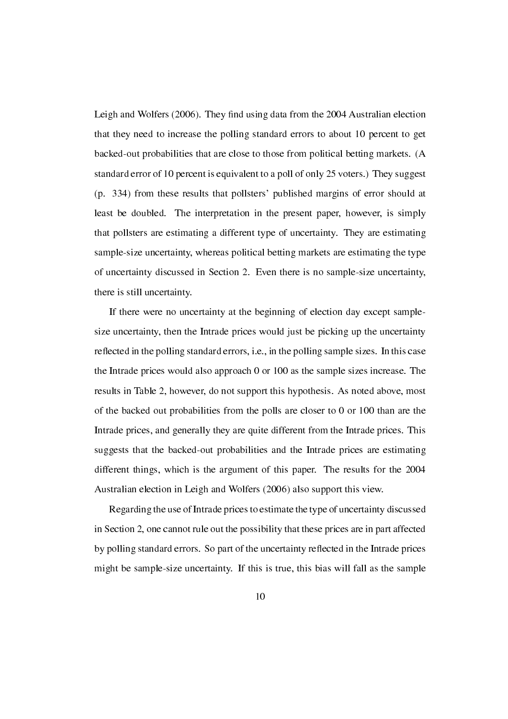Leigh and Wolfers (2006). They find using data from the 2004 Australian election that they need to increase the polling standard errors to about 10 percent to get backed-out probabilities that are close to those from political betting markets. (A standard error of 10 percent is equivalent to a poll of only 25 voters.) They suggest (p. 334) from these results that pollsters' published margins of error should at least be doubled. The interpretation in the present paper, however, is simply that pollsters are estimating a different type of uncertainty. They are estimating sample-size uncertainty, whereas political betting markets are estimating the type of uncertainty discussed in Section 2. Even there is no sample-size uncertainty, there is still uncertainty.

If there were no uncertainty at the beginning of election day except samplesize uncertainty, then the Intrade prices would just be picking up the uncertainty reflected in the polling standard errors, i.e., in the polling sample sizes. In this case the Intrade prices would also approach 0 or 100 as the sample sizes increase. The results in Table 2, however, do not support this hypothesis. As noted above, most of the backed out probabilities from the polls are closer to 0 or 100 than are the Intrade prices, and generally they are quite different from the Intrade prices. This suggests that the backed-out probabilities and the Intrade prices are estimating different things, which is the argument of this paper. The results for the 2004 Australian election in Leigh and Wolfers (2006) also support this view.

Regarding the use of Intrade prices to estimate the type of uncertainty discussed in Section 2, one cannot rule out the possibility that these prices are in part affected by polling standard errors. So part of the uncertainty reflected in the Intrade prices might be sample-size uncertainty. If this is true, this bias will fall as the sample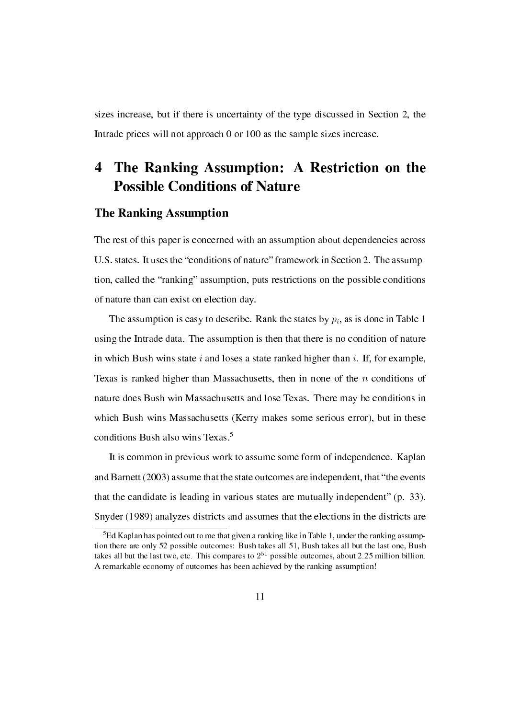sizes increase, but if there is uncertainty of the type discussed in Section 2, the Intrade prices will not approach 0 or 100 as the sample sizes increase.

## 4 The Ranking Assumption: A Restriction on the Possible Conditions of Nature

### The Ranking Assumption

The rest of this paper is concerned with an assumption about dependencies across U.S. states. It uses the "conditions of nature" framework in Section 2. The assumption, called the "ranking" assumption, puts restrictions on the possible conditions of nature than can exist on election day.

The assumption is easy to describe. Rank the states by  $p_i$ , as is done in Table 1 using the Intrade data. The assumption is then that there is no condition of nature in which Bush wins state *i* and loses a state ranked higher than *i*. If, for example, Texas is ranked higher than Massachusetts, then in none of the *n* conditions of nature does Bush win Massachusetts and lose Texas. There may be conditions in which Bush wins Massachusetts (Kerry makes some serious error), but in these conditions Bush also wins Texas.<sup>5</sup>

It is common in previous work to assume some form of independence. Kaplan and Barnett (2003) assume that the state outcomes are independent, that "the events that the candidate is leading in various states are mutually independent"  $(p. 33)$ . Snyder (1989) analyzes districts and assumes that the elections in the districts are

 ${}^{5}$ Ed Kaplan has pointed out to me that given a ranking like in Table 1, under the ranking assumption there are only 52 possible outcomes: Bush takes all 51, Bush takes all but the last one, Bush takes all but the last two, etc. This compares to  $2^{51}$  possible outcomes, about 2.25 million billion. A remarkable economy of outcomes has been achieved by the ranking assumption!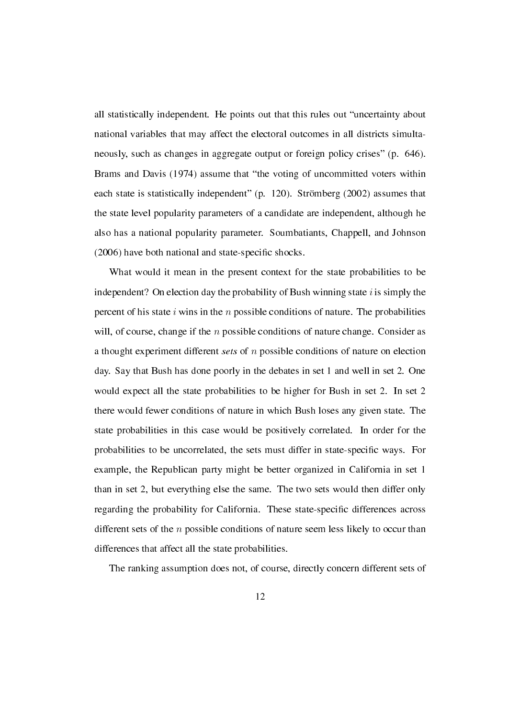all statistically independent. He points out that this rules out "uncertainty about national variables that may affect the electoral outcomes in all districts simultaneously, such as changes in aggregate output or foreign policy crises" (p. 646). Brams and Davis (1974) assume that "the voting of uncommitted voters within each state is statistically independent" (p. 120). Strömberg  $(2002)$  assumes that the state level popularity parameters of a candidate are independent, although he also has a national popularity parameter. Soumbatiants, Chappell, and Johnson (2006) have both national and state-specific shocks.

What would it mean in the present context for the state probabilities to be independent? On election day the probability of Bush winning state *i* is simply the percent of his state *i* wins in the *n* possible conditions of nature. The probabilities will, of course, change if the *n* possible conditions of nature change. Consider as a thought experiment different sets of *n* possible conditions of nature on election day. Say that Bush has done poorly in the debates in set 1 and well in set 2. One would expect all the state probabilities to be higher for Bush in set 2. In set 2 there would fewer conditions of nature in which Bush loses any given state. The state probabilities in this case would be positively correlated. In order for the probabilities to be uncorrelated, the sets must differ in state-specic ways. For example, the Republican party might be better organized in California in set 1 than in set 2, but everything else the same. The two sets would then differ only regarding the probability for California. These state-specic differences across different sets of the *n* possible conditions of nature seem less likely to occur than differences that affect all the state probabilities.

The ranking assumption does not, of course, directly concern different sets of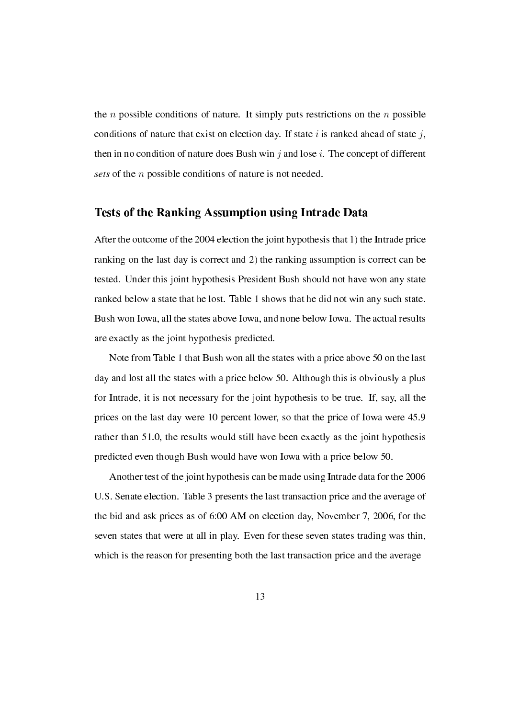the *n* possible conditions of nature. It simply puts restrictions on the *n* possible conditions of nature that exist on election day. If state *i* is ranked ahead of state *j*, then in no condition of nature does Bush win *j* and lose *i*. The concept of different sets of the *n* possible conditions of nature is not needed.

#### Tests of the Ranking Assumption using Intrade Data

After the outcome of the 2004 election the joint hypothesis that 1) the Intrade price ranking on the last day is correct and 2) the ranking assumption is correct can be tested. Under this joint hypothesis President Bush should not have won any state ranked below a state that he lost. Table 1 shows that he did not win any such state. Bush won Iowa, all the states above Iowa, and none below Iowa. The actual results are exactly as the joint hypothesis predicted.

Note from Table 1 that Bush won all the states with a price above 50 on the last day and lost all the states with a price below 50. Although this is obviously a plus for Intrade, it is not necessary for the joint hypothesis to be true. If, say, all the prices on the last day were 10 percent lower, so that the price of Iowa were 45.9 rather than 51.0, the results would still have been exactly as the joint hypothesis predicted even though Bush would have won Iowa with a price below 50.

Another test of the joint hypothesis can be made using Intrade data for the 2006 U.S. Senate election. Table 3 presents the last transaction price and the average of the bid and ask prices as of 6:00 AM on election day, November 7, 2006, for the seven states that were at all in play. Even for these seven states trading was thin, which is the reason for presenting both the last transaction price and the average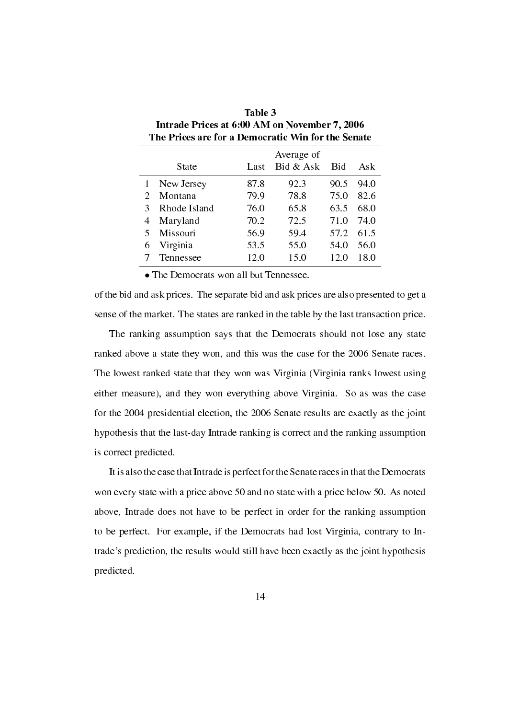|   | The Prices are for a Democratic Win for the Senate |      |            |            |      |
|---|----------------------------------------------------|------|------------|------------|------|
|   |                                                    |      | Average of |            |      |
|   | State                                              | Last | Bid & Ask  | <b>Bid</b> | Ask  |
| 1 | New Jersey                                         | 87.8 | 92.3       | 90.5       | 94.0 |
| 2 | Montana                                            | 79.9 | 78.8       | 75.0       | 82.6 |
| 3 | Rhode Island                                       | 76.0 | 65.8       | 63.5       | 68.0 |
| 4 | Maryland                                           | 70.2 | 72.5       | 71.0       | 74.0 |
| 5 | Missouri                                           | 56.9 | 59.4       | 57.2       | 61.5 |
| 6 | Virginia                                           | 53.5 | 55.0       | 54.0       | 56.0 |
|   | Tennessee                                          | 12.0 | 15.0       | 12.0       | 18.0 |

| Table 3                                            |
|----------------------------------------------------|
| Intrade Prices at 6:00 AM on November 7, 2006      |
| The Prices are for a Democratic Win for the Senate |

*•* The Democrats won all but Tennessee.

of the bid and ask prices. The separate bid and ask prices are also presented to get a sense of the market. The states are ranked in the table by the last transaction price.

The ranking assumption says that the Democrats should not lose any state ranked above a state they won, and this was the case for the 2006 Senate races. The lowest ranked state that they won was Virginia (Virginia ranks lowest using either measure), and they won everything above Virginia. So as was the case for the 2004 presidential election, the 2006 Senate results are exactly as the joint hypothesis that the last-day Intrade ranking is correct and the ranking assumption is correct predicted.

It is also the case that Intrade is perfect for the Senate races in that the Democrats won every state with a price above 50 and no state with a price below 50. As noted above, Intrade does not have to be perfect in order for the ranking assumption to be perfect. For example, if the Democrats had lost Virginia, contrary to Intrade's prediction, the results would still have been exactly as the joint hypothesis predicted.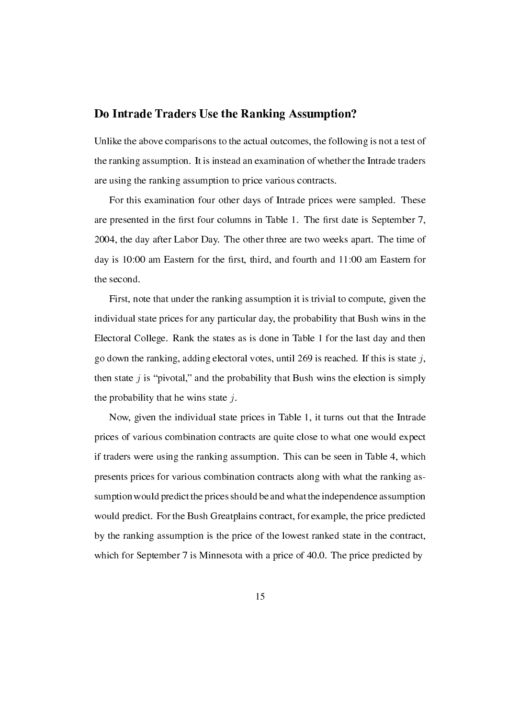### Do Intrade Traders Use the Ranking Assumption?

Unlike the above comparisons to the actual outcomes, the following is not a test of the ranking assumption. It is instead an examination of whether the Intrade traders are using the ranking assumption to price various contracts.

For this examination four other days of Intrade prices were sampled. These are presented in the first four columns in Table 1. The first date is September 7, 2004, the day after Labor Day. The other three are two weeks apart. The time of day is 10:00 am Eastern for the first, third, and fourth and 11:00 am Eastern for the second.

First, note that under the ranking assumption it is trivial to compute, given the individual state prices for any particular day, the probability that Bush wins in the Electoral College. Rank the states as is done in Table 1 for the last day and then go down the ranking, adding electoral votes, until 269 is reached. If this is state *j*, then state  $j$  is "pivotal," and the probability that Bush wins the election is simply the probability that he wins state *j*.

Now, given the individual state prices in Table 1, it turns out that the Intrade prices of various combination contracts are quite close to what one would expect if traders were using the ranking assumption. This can be seen in Table 4, which presents prices for various combination contracts along with what the ranking assumption would predict the prices should be and what the independence assumption would predict. For the Bush Greatplains contract, for example, the price predicted by the ranking assumption is the price of the lowest ranked state in the contract, which for September 7 is Minnesota with a price of 40.0. The price predicted by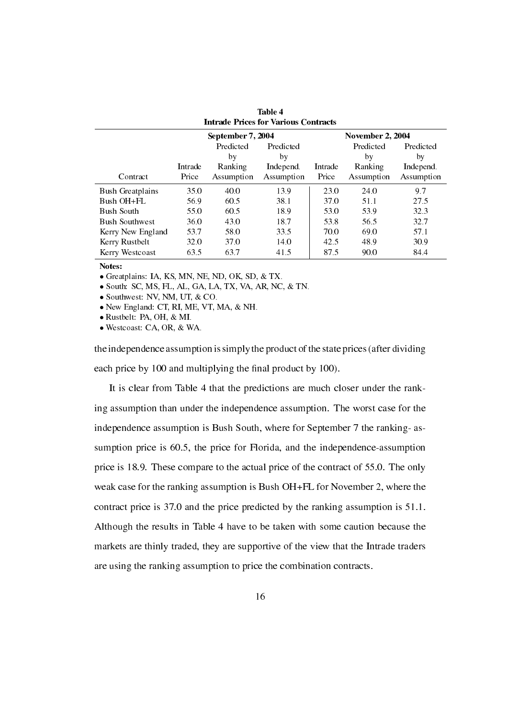|                         |         | <b>Intrade Prices for Various Contracts</b> |            |         |                         |            |
|-------------------------|---------|---------------------------------------------|------------|---------|-------------------------|------------|
|                         |         | September 7, 2004                           |            |         | <b>November 2, 2004</b> |            |
|                         |         | Predicted                                   | Predicted  |         | Predicted               | Predicted  |
|                         |         | by                                          | by         |         | by                      | by         |
|                         | Intrade | Ranking                                     | Independ.  | Intrade | Ranking                 | Independ.  |
| Contract                | Price   | Assumption                                  | Assumption | Price   | Assumption              | Assumption |
| <b>Bush Greatplains</b> | 35.0    | 40.0                                        | 13.9       | 23.0    | 24.0                    | 9.7        |
| Bush OH+FL              | 56.9    | 60.5                                        | 38.1       | 37.0    | 51.1                    | 27.5       |
| <b>Bush South</b>       | 55.0    | 60.5                                        | 18.9       | 53.0    | 53.9                    | 32.3       |
| <b>Bush Southwest</b>   | 36.0    | 43.0                                        | 18.7       | 53.8    | 56.5                    | 32.7       |
| Kerry New England       | 53.7    | 58.0                                        | 33.5       | 70.0    | 69.0                    | 57.1       |
| Kerry Rustbelt          | 32.0    | 37.0                                        | 14.0       | 42.5    | 48.9                    | 30.9       |
| Kerry Westcoast         | 63.5    | 63.7                                        | 41.5       | 87.5    | 90.0                    | 84.4       |

| Table 4                                    |  |
|--------------------------------------------|--|
| <b>Intrade Prices for Various Contract</b> |  |

Notes:

*•* Greatplains: IA, KS, MN, NE, ND, OK, SD, & TX.

*•* South: SC, MS, FL, AL, GA, LA, TX, VA, AR, NC, & TN.

*•* Southwest: NV, NM, UT, & CO.

*•* New England: CT, RI, ME, VT, MA, & NH.

*•* Rustbelt: PA, OH, & MI.

*•* Westcoast: CA, OR, & WA.

the independence assumption is simply the product of the state prices (after dividing each price by 100 and multiplying the final product by 100).

It is clear from Table 4 that the predictions are much closer under the ranking assumption than under the independence assumption. The worst case for the independence assumption is Bush South, where for September 7 the ranking- assumption price is 60.5, the price for Florida, and the independence-assumption price is 18.9. These compare to the actual price of the contract of 55.0. The only weak case for the ranking assumption is Bush OH+FL for November 2, where the contract price is 37.0 and the price predicted by the ranking assumption is 51.1. Although the results in Table 4 have to be taken with some caution because the markets are thinly traded, they are supportive of the view that the Intrade traders are using the ranking assumption to price the combination contracts.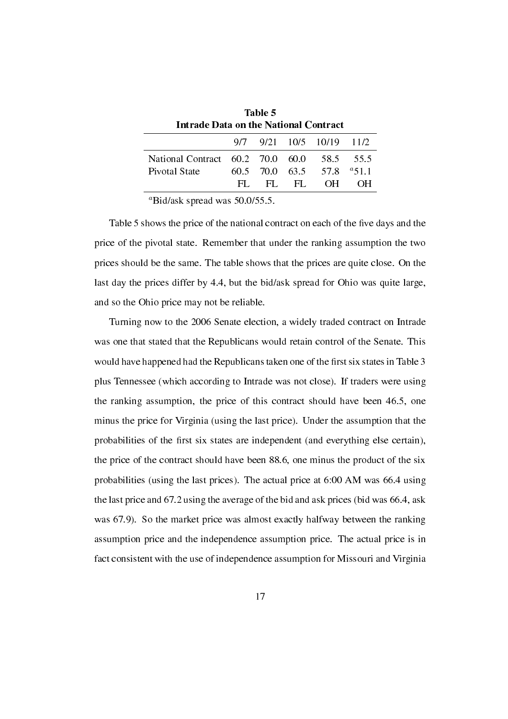| Intrade Data on the National Contract |     | таше э         |       |                          |               |
|---------------------------------------|-----|----------------|-------|--------------------------|---------------|
|                                       |     |                |       | 9/7 9/21 10/5 10/19 11/2 |               |
| National Contract 60.2 70.0 60.0      |     |                |       |                          | 58.5 55.5     |
| Pivotal State                         |     | 60.5 70.0 63.5 |       |                          | 57.8 $a$ 51.1 |
|                                       | HL. |                | EL FL | OH -                     |               |

Table 5

*<sup>a</sup>*Bid/ask spread was 50.0/55.5.

Table 5 shows the price of the national contract on each of the five days and the price of the pivotal state. Remember that under the ranking assumption the two prices should be the same. The table shows that the prices are quite close. On the last day the prices differ by 4.4, but the bid/ask spread for Ohio was quite large, and so the Ohio price may not be reliable.

Turning now to the 2006 Senate election, a widely traded contract on Intrade was one that stated that the Republicans would retain control of the Senate. This would have happened had the Republicans taken one of the first six states in Table 3 plus Tennessee (which according to Intrade was not close). If traders were using the ranking assumption, the price of this contract should have been 46.5, one minus the price for Virginia (using the last price). Under the assumption that the probabilities of the first six states are independent (and everything else certain), the price of the contract should have been 88.6, one minus the product of the six probabilities (using the last prices). The actual price at 6:00 AM was 66.4 using the last price and 67.2 using the average of the bid and ask prices (bid was 66.4, ask was 67.9). So the market price was almost exactly halfway between the ranking assumption price and the independence assumption price. The actual price is in fact consistent with the use of independence assumption for Missouri and Virginia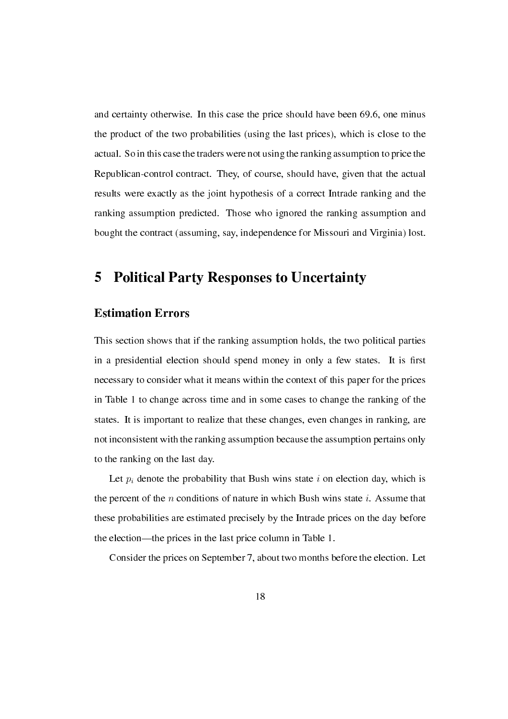and certainty otherwise. In this case the price should have been 69.6, one minus the product of the two probabilities (using the last prices), which is close to the actual. So in this case the traders were not using the ranking assumption to price the Republican-control contract. They, of course, should have, given that the actual results were exactly as the joint hypothesis of a correct Intrade ranking and the ranking assumption predicted. Those who ignored the ranking assumption and bought the contract (assuming, say, independence for Missouri and Virginia) lost.

## 5 Political Party Responses to Uncertainty

### Estimation Errors

This section shows that if the ranking assumption holds, the two political parties in a presidential election should spend money in only a few states. It is first necessary to consider what it means within the context of this paper for the prices in Table 1 to change across time and in some cases to change the ranking of the states. It is important to realize that these changes, even changes in ranking, are not inconsistent with the ranking assumption because the assumption pertains only to the ranking on the last day.

Let  $p_i$  denote the probability that Bush wins state  $i$  on election day, which is the percent of the *n* conditions of nature in which Bush wins state *i*. Assume that these probabilities are estimated precisely by the Intrade prices on the day before the election—the prices in the last price column in Table 1.

Consider the prices on September 7, about two months before the election. Let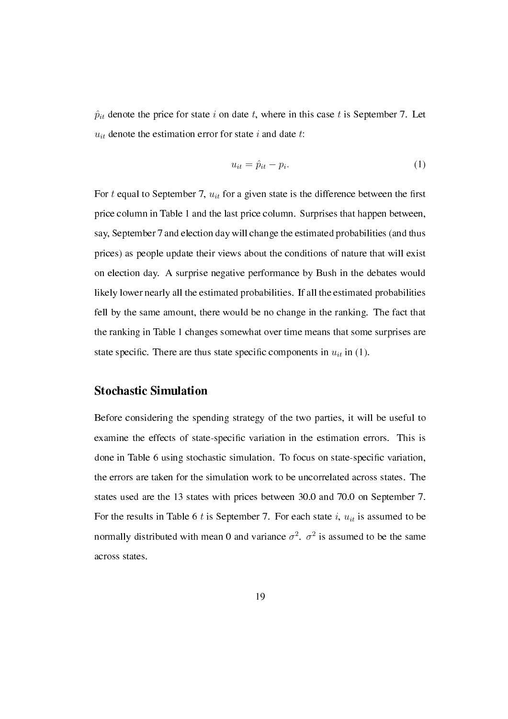$\hat{p}_{it}$  denote the price for state *i* on date *t*, where in this case *t* is September 7. Let  $u_{it}$  denote the estimation error for state *i* and date *t*:

$$
u_{it} = \hat{p}_{it} - p_i. \tag{1}
$$

For  $t$  equal to September 7,  $u_{it}$  for a given state is the difference between the first price column in Table 1 and the last price column. Surprises that happen between, say, September 7 and election day will change the estimated probabilities (and thus prices) as people update their views about the conditions of nature that will exist on election day. A surprise negative performance by Bush in the debates would likely lower nearly all the estimated probabilities. If all the estimated probabilities fell by the same amount, there would be no change in the ranking. The fact that the ranking in Table 1 changes somewhat over time means that some surprises are state specific. There are thus state specific components in  $u_{it}$  in (1).

### Stochastic Simulation

Before considering the spending strategy of the two parties, it will be useful to examine the effects of state-specic variation in the estimation errors. This is done in Table 6 using stochastic simulation. To focus on state-specic variation, the errors are taken for the simulation work to be uncorrelated across states. The states used are the 13 states with prices between 30.0 and 70.0 on September 7. For the results in Table 6  $t$  is September 7. For each state  $i$ ,  $u_{it}$  is assumed to be normally distributed with mean 0 and variance  $\sigma^2$ .  $\sigma^2$  is assumed to be the same across states.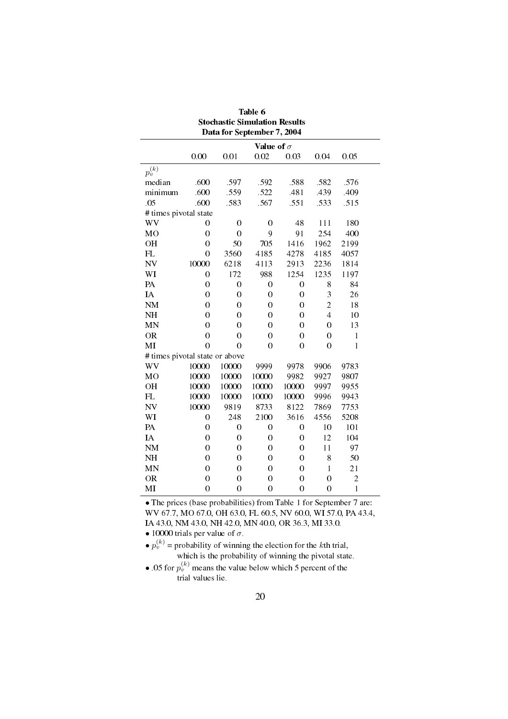|                                |                  | Data for September 7, 2004 |                   |                  |                |                |  |
|--------------------------------|------------------|----------------------------|-------------------|------------------|----------------|----------------|--|
|                                |                  |                            | Value of $\sigma$ |                  |                |                |  |
|                                | 0.00             | 0.01                       | 0.02              | 0.03             | 0.04           | 0.05           |  |
| $p_v^{(k)}$                    |                  |                            |                   |                  |                |                |  |
| median                         | .600             | .597                       | .592              | .588             | .582           | .576           |  |
| minimum                        | .600             | .559                       | .522              | .481             | .439           | .409           |  |
| .05                            | .600             | .583                       | .567              | .551             | .533           | .515           |  |
| # times pivotal state          |                  |                            |                   |                  |                |                |  |
| WV                             | 0                | 0                          | $\boldsymbol{0}$  | 48               | 111            | 180            |  |
| M <sub>O</sub>                 | $\overline{0}$   | $\overline{0}$             | 9                 | 91               | 254            | 400            |  |
| OH                             | $\overline{0}$   | 50                         | 705               | 1416             | 1962           | 2199           |  |
| FL                             | $\overline{0}$   | 3560                       | 4185              | 4278             | 4185           | 4057           |  |
| <b>NV</b>                      | 10000            | 6218                       | 4113              | 2913             | 2236           | 1814           |  |
| WI                             | $\overline{0}$   | 172                        | 988               | 1254             | 1235           | 1197           |  |
| PA                             | $\boldsymbol{0}$ | $\overline{0}$             | $\boldsymbol{0}$  | 0                | 8              | 84             |  |
| $I\!A$                         | $\overline{0}$   | $\overline{0}$             | $\boldsymbol{0}$  | $\boldsymbol{0}$ | 3              | 26             |  |
| <b>NM</b>                      | $\theta$         | $\theta$                   | $\theta$          | $\theta$         | $\overline{c}$ | 18             |  |
| NH                             | $\theta$         | 0                          | $\theta$          | 0                | $\overline{4}$ | 10             |  |
| <b>MN</b>                      | $\overline{0}$   | $\overline{0}$             | $\overline{0}$    | $\overline{0}$   | $\overline{0}$ | 13             |  |
| <b>OR</b>                      | $\overline{0}$   | $\overline{0}$             | $\boldsymbol{0}$  | 0                | 0              | $\mathbf{1}$   |  |
| $\bf MI$                       | $\overline{0}$   | $\overline{0}$             | $\overline{0}$    | $\overline{0}$   | $\overline{0}$ | $\mathbf{1}$   |  |
| # times pivotal state or above |                  |                            |                   |                  |                |                |  |
| WV                             | 10000            | 10000                      | 9999              | 9978             | 9906           | 9783           |  |
| MO                             | 10000            | 10000                      | 10000             | 9982             | 9927           | 9807           |  |
| <b>OH</b>                      | 10000            | 10000                      | 10000             | 10000            | 9997           | 9955           |  |
| FL                             | 10000            | 10000                      | 10000             | 10000            | 9996           | 9943           |  |
| <b>NV</b>                      | 10000            | 9819                       | 8733              | 8122             | 7869           | 7753           |  |
| WI                             | 0                | 248                        | 2100              | 3616             | 4556           | 5208           |  |
| PA                             | 0                | 0                          | $\boldsymbol{0}$  | 0                | 10             | 101            |  |
| IA                             | $\overline{0}$   | $\overline{0}$             | $\overline{0}$    | $\boldsymbol{0}$ | 12             | 104            |  |
| NM                             | $\overline{0}$   | $\overline{0}$             | $\overline{0}$    | $\overline{0}$   | 11             | 97             |  |
| NH                             | 0                | 0                          | 0                 | $\boldsymbol{0}$ | 8              | 50             |  |
| MN                             | $\overline{0}$   | $\overline{0}$             | $\overline{0}$    | $\boldsymbol{0}$ | $\mathbf{1}$   | 21             |  |
| <b>OR</b>                      | $\overline{0}$   | $\overline{0}$             | $\overline{0}$    | $\overline{0}$   | $\overline{0}$ | $\overline{c}$ |  |
| MI                             | $\overline{0}$   | $\overline{0}$             | $\boldsymbol{0}$  | $\overline{0}$   | $\overline{0}$ | $\mathbf{1}$   |  |

Table 6 Stochastic Simulation Results

• The prices (base probabilities) from Table 1 for September 7 are: WV 67.7, MO 67.0, OH 63.0, FL 60.5, NV 60.0, WI 57.0, PA 43.4, IA 43.0, NM 43.0, NH 42.0, MN 40.0, OR 36.3, MI 33.0. *•* 10000 trials per value of *σ*.

•  $p_v^{(k)}$  = probability of winning the election for the *k*th trial, which is the probability of winning the pivotal state.

• .05 for  $p_v^{(k)}$  means the value below which 5 percent of the trial values lie.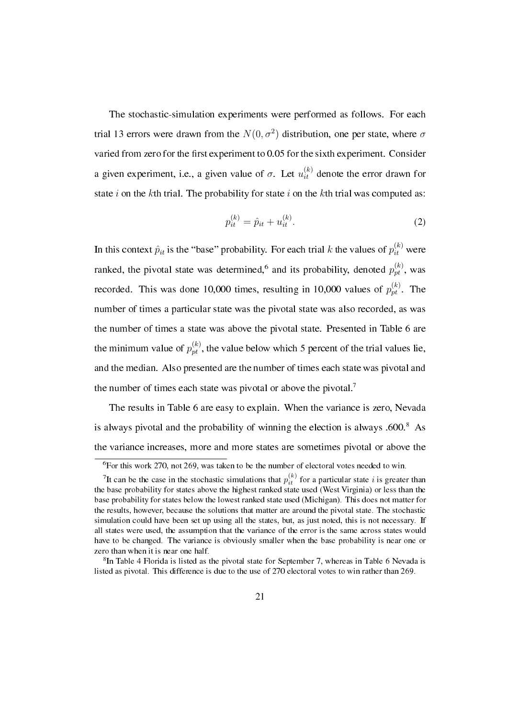The stochastic-simulation experiments were performed as follows. For each trial 13 errors were drawn from the  $N(0, \sigma^2)$  distribution, one per state, where  $\sigma$ varied from zero for the first experiment to 0.05 for the sixth experiment. Consider a given experiment, i.e., a given value of  $\sigma$ . Let  $u_{it}^{(k)}$  denote the error drawn for state *i* on the *k*th trial. The probability for state *i* on the *k*th trial was computed as:

$$
p_{it}^{(k)} = \hat{p}_{it} + u_{it}^{(k)}.
$$
 (2)

In this context  $\hat{p}_{it}$  is the "base" probability. For each trial *k* the values of  $p_{it}^{(k)}$  were ranked, the pivotal state was determined,  $6$  and its probability, denoted  $p_{pt}^{(k)}$ , was recorded. This was done 10,000 times, resulting in 10,000 values of  $p_{pt}^{(k)}$ . The number of times a particular state was the pivotal state was also recorded, as was the number of times a state was above the pivotal state. Presented in Table 6 are the minimum value of  $p_{pt}^{(k)}$ , the value below which 5 percent of the trial values lie, and the median. Also presented are the number of times each state was pivotal and the number of times each state was pivotal or above the pivotal.<sup>7</sup>

The results in Table 6 are easy to explain. When the variance is zero, Nevada is always pivotal and the probability of winning the election is always  $.600$ .<sup>8</sup> As the variance increases, more and more states are sometimes pivotal or above the

 $6$ For this work 270, not 269, was taken to be the number of electoral votes needed to win.

<sup>&</sup>lt;sup>7</sup>It can be the case in the stochastic simulations that  $p_{it}^{(k)}$  for a particular state *i* is greater than the base probability for states above the highest ranked state used (West Virginia) or less than the base probability for states below the lowest ranked state used (Michigan). This does not matter for the results, however, because the solutions that matter are around the pivotal state. The stochastic simulation could have been set up using all the states, but, as just noted, this is not necessary. If all states were used, the assumption that the variance of the error is the same across states would have to be changed. The variance is obviously smaller when the base probability is near one or zero than when it is near one half.

<sup>&</sup>lt;sup>8</sup>In Table 4 Florida is listed as the pivotal state for September 7, whereas in Table 6 Nevada is listed as pivotal. This difference is due to the use of 270 electoral votes to win rather than 269.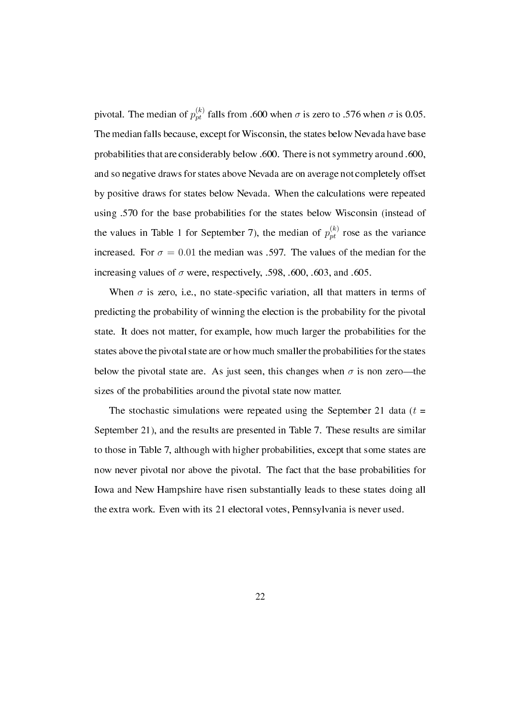pivotal. The median of  $p_{pt}^{(k)}$  falls from .600 when  $\sigma$  is zero to .576 when  $\sigma$  is 0.05. The median falls because, except for Wisconsin, the states below Nevada have base probabilities that are considerably below .600. There is not symmetry around .600, and so negative draws for states above Nevada are on average not completely offset by positive draws for states below Nevada. When the calculations were repeated using .570 for the base probabilities for the states below Wisconsin (instead of the values in Table 1 for September 7), the median of  $p_{pt}^{(k)}$  rose as the variance increased. For  $\sigma = 0.01$  the median was .597. The values of the median for the increasing values of  $\sigma$  were, respectively, .598, .600, .603, and .605.

When  $\sigma$  is zero, i.e., no state-specific variation, all that matters in terms of predicting the probability of winning the election is the probability for the pivotal state. It does not matter, for example, how much larger the probabilities for the states above the pivotal state are or how much smaller the probabilities for the states below the pivotal state are. As just seen, this changes when  $\sigma$  is non zero—the sizes of the probabilities around the pivotal state now matter.

The stochastic simulations were repeated using the September 21 data  $(t =$ September 21), and the results are presented in Table 7. These results are similar to those in Table 7, although with higher probabilities, except that some states are now never pivotal nor above the pivotal. The fact that the base probabilities for Iowa and New Hampshire have risen substantially leads to these states doing all the extra work. Even with its 21 electoral votes, Pennsylvania is never used.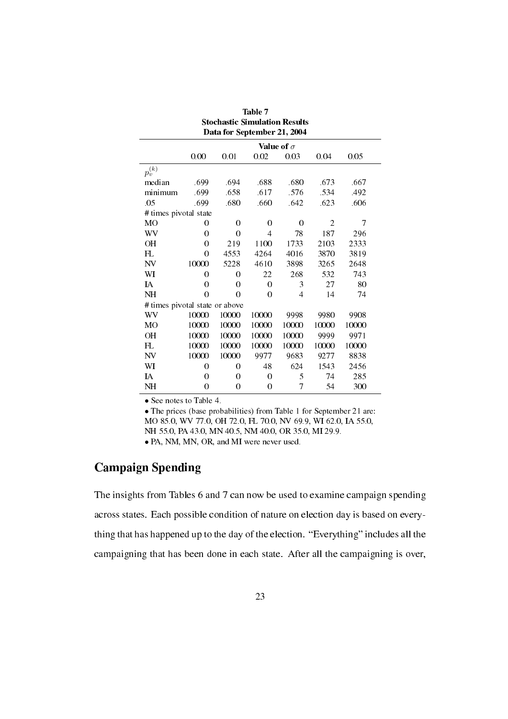|                                |       | Data for September 21, 2004 |                   |                |                |       |  |
|--------------------------------|-------|-----------------------------|-------------------|----------------|----------------|-------|--|
|                                |       |                             | Value of $\sigma$ |                |                |       |  |
|                                | 0.00  | 0.01                        | 0.02              | 0.03           | 0.04           | 0.05  |  |
| $p_v^{(\overline{k})}$         |       |                             |                   |                |                |       |  |
| median                         | .699  | .694                        | .688              | .680           | .673           | .667  |  |
| minimum                        | .699  | .658                        | .617              | .576           | 534            | .492  |  |
| .05                            | .699  | .680                        | .660              | .642           | .623           | .606  |  |
| # times pivotal state          |       |                             |                   |                |                |       |  |
| MO                             | 0     | 0                           | 0                 | 0              | $\overline{2}$ | 7     |  |
| WV                             | 0     | $\theta$                    | 4                 | 78             | 187            | 296   |  |
| OН                             | 0     | 219                         | 1100              | 1733           | 2103           | 2333  |  |
| FL                             | 0     | 4553                        | 4264              | 4016           | 3870           | 3819  |  |
| NV                             | 10000 | 5228                        | 4610              | 3898           | 3265           | 2648  |  |
| WI                             | 0     | $\theta$                    | 22                | 268            | 532            | 743   |  |
| IA                             | 0     | 0                           | $\theta$          | 3              | 27             | 80    |  |
| NH                             | 0     | $\Omega$                    | $\theta$          | $\overline{4}$ | 14             | 74    |  |
| # times pivotal state or above |       |                             |                   |                |                |       |  |
| WV                             | 10000 | 10000                       | 10000             | 9998           | 9980           | 9908  |  |
| MО                             | 10000 | 10000                       | 10000             | 10000          | 10000          | 10000 |  |
| ΟH                             | 10000 | 10000                       | 10000             | 10000          | 9999           | 9971  |  |
| FL                             | 10000 | 10000                       | 10000             | 10000          | 10000          | 10000 |  |
| NV                             | 10000 | 10000                       | 9977              | 9683           | 9277           | 8838  |  |
| WI                             | 0     | 0                           | 48                | 624            | 1543           | 2456  |  |
| IA                             | 0     | 0                           | $\theta$          | 5              | 74             | 285   |  |
| NH                             | 0     | $\theta$                    | $\boldsymbol{0}$  | 7              | 54             | 300   |  |

| Table 7                       |
|-------------------------------|
| Stochastic Simulation Results |
| Data for September 21, 2004   |

*•* See notes to Table 4.

*•* The prices (base probabilities) from Table 1 for September 21 are: MO 85.0, WV 77.0, OH 72.0, FL 70.0, NV 69.9, WI 62.0, IA 55.0, NH 55.0, PA 43.0, MN 40.5, NM 40.0, OR 35.0, MI 29.9. *•* PA, NM, MN, OR, and MI were never used.

### Campaign Spending

The insights from Tables 6 and 7 can now be used to examine campaign spending across states. Each possible condition of nature on election day is based on everything that has happened up to the day of the election. "Everything" includes all the campaigning that has been done in each state. After all the campaigning is over,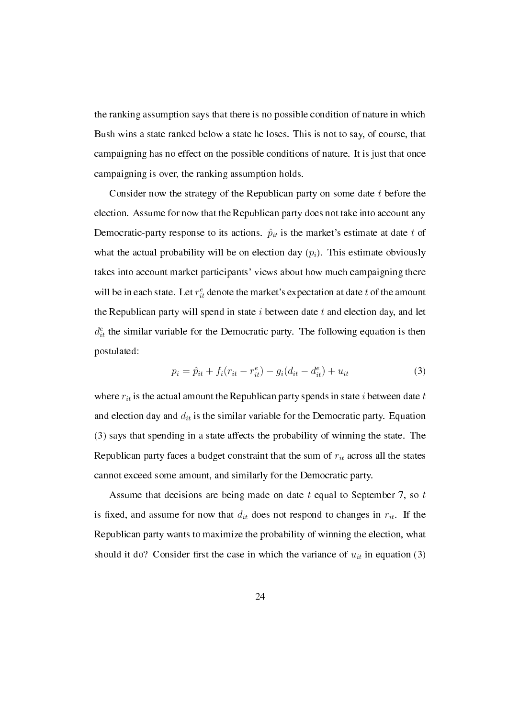the ranking assumption says that there is no possible condition of nature in which Bush wins a state ranked below a state he loses. This is not to say, of course, that campaigning has no effect on the possible conditions of nature. It is just that once campaigning is over, the ranking assumption holds.

Consider now the strategy of the Republican party on some date *t* before the election. Assume for now that the Republican party does not take into account any Democratic-party response to its actions.  $\hat{p}_{it}$  is the market's estimate at date t of what the actual probability will be on election day  $(p_i)$ . This estimate obviously takes into account market participants' views about how much campaigning there will be in each state. Let  $r_{it}^e$  denote the market's expectation at date  $t$  of the amount the Republican party will spend in state *i* between date *t* and election day, and let  $d_{it}^e$  the similar variable for the Democratic party. The following equation is then postulated:

$$
p_i = \hat{p}_{it} + f_i(r_{it} - r_{it}^e) - g_i(d_{it} - d_{it}^e) + u_{it}
$$
\n(3)

where  $r_{it}$  is the actual amount the Republican party spends in state *i* between date  $t$ and election day and *dit* is the similar variable for the Democratic party. Equation (3) says that spending in a state affects the probability of winning the state. The Republican party faces a budget constraint that the sum of *rit* across all the states cannot exceed some amount, and similarly for the Democratic party.

Assume that decisions are being made on date *t* equal to September 7, so *t* is fixed, and assume for now that  $d_{it}$  does not respond to changes in  $r_{it}$ . If the Republican party wants to maximize the probability of winning the election, what should it do? Consider first the case in which the variance of  $u_{it}$  in equation (3)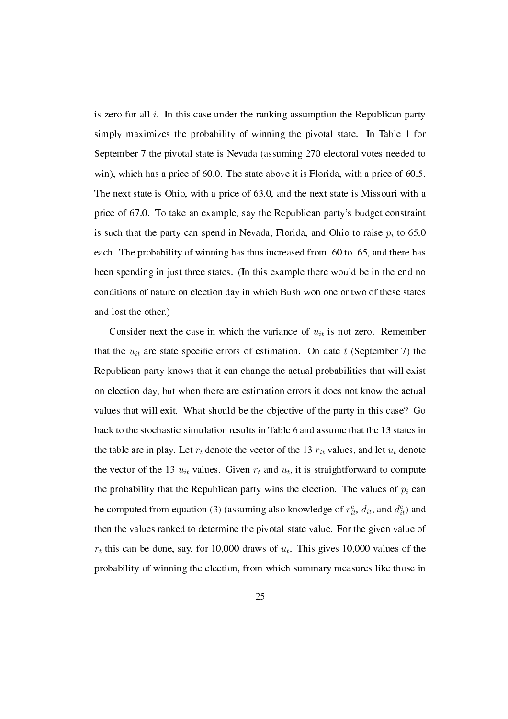is zero for all *i*. In this case under the ranking assumption the Republican party simply maximizes the probability of winning the pivotal state. In Table 1 for September 7 the pivotal state is Nevada (assuming 270 electoral votes needed to win), which has a price of 60.0. The state above it is Florida, with a price of 60.5. The next state is Ohio, with a price of 63.0, and the next state is Missouri with a price of 67.0. To take an example, say the Republican party's budget constraint is such that the party can spend in Nevada, Florida, and Ohio to raise  $p_i$  to 65.0 each. The probability of winning has thus increased from .60 to .65, and there has been spending in just three states. (In this example there would be in the end no conditions of nature on election day in which Bush won one or two of these states and lost the other.)

Consider next the case in which the variance of  $u_{it}$  is not zero. Remember that the  $u_{it}$  are state-specific errors of estimation. On date  $t$  (September 7) the Republican party knows that it can change the actual probabilities that will exist on election day, but when there are estimation errors it does not know the actual values that will exit. What should be the objective of the party in this case? Go back to the stochastic-simulation results in Table 6 and assume that the 13 states in the table are in play. Let  $r_t$  denote the vector of the 13  $r_{it}$  values, and let  $u_t$  denote the vector of the 13  $u_{it}$  values. Given  $r_t$  and  $u_t$ , it is straightforward to compute the probability that the Republican party wins the election. The values of  $p_i$  can be computed from equation (3) (assuming also knowledge of  $r_{it}^e$ ,  $d_{it}$ , and  $d_{it}^e$ ) and then the values ranked to determine the pivotal-state value. For the given value of  $r_t$  this can be done, say, for 10,000 draws of  $u_t$ . This gives 10,000 values of the probability of winning the election, from which summary measures like those in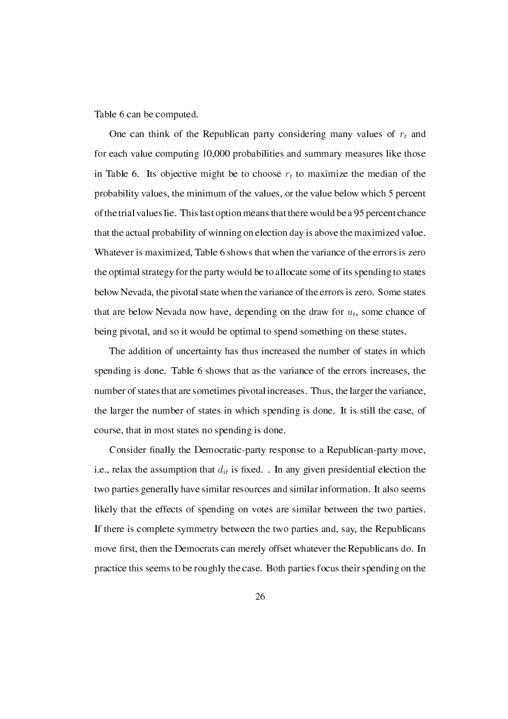Table 6 can be computed.

One can think of the Republican party considering many values of *r<sup>t</sup>* and for each value computing 10,000 probabilities and summary measures like those in Table 6. Its objective might be to choose  $r<sub>t</sub>$  to maximize the median of the probability values, the minimum of the values, or the value below which 5 percent of the trial values lie. This last option means that there would be a 95 percent chance that the actual probability of winning on election day is above the maximized value. Whatever is maximized, Table 6 shows that when the variance of the errors is zero the optimal strategy for the party would be to allocate some of its spending to states below Nevada, the pivotal state when the variance of the errors is zero. Some states that are below Nevada now have, depending on the draw for  $u_t$ , some chance of being pivotal, and so it would be optimal to spend something on these states.

The addition of uncertainty has thus increased the number of states in which spending is done. Table 6 shows that as the variance of the errors increases, the number of states that are sometimes pivotal increases. Thus, the larger the variance, the larger the number of states in which spending is done. It is still the case, of course, that in most states no spending is done.

Consider finally the Democratic-party response to a Republican-party move, i.e., relax the assumption that  $d_{it}$  is fixed. . In any given presidential election the two parties generally have similar resources and similar information. It also seems likely that the effects of spending on votes are similar between the two parties. If there is complete symmetry between the two parties and, say, the Republicans move first, then the Democrats can merely offset whatever the Republicans do. In practice this seems to be roughly the case. Both parties focus their spending on the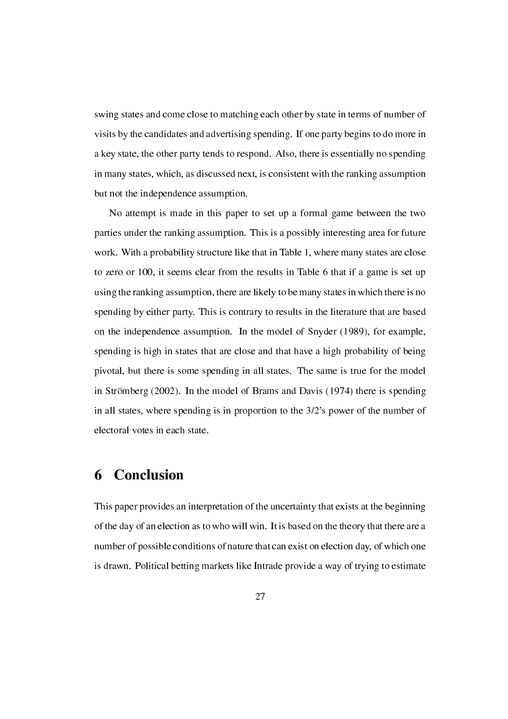swing states and come close to matching each other by state in terms of number of visits by the candidates and advertising spending. If one party begins to do more in a key state, the other party tends to respond. Also, there is essentially no spending in many states, which, as discussed next, is consistent with the ranking assumption but not the independence assumption.

No attempt is made in this paper to set up a formal game between the two parties under the ranking assumption. This is a possibly interesting area for future work. With a probability structure like that in Table 1, where many states are close to zero or 100, it seems clear from the results in Table 6 that if a game is set up using the ranking assumption, there are likely to be many states in which there is no spending by either party. This is contrary to results in the literature that are based on the independence assumption. In the model of Snyder (1989), for example, spending is high in states that are close and that have a high probability of being pivotal, but there is some spending in all states. The same is true for the model in Strömberg (2002). In the model of Brams and Davis (1974) there is spending in all states, where spending is in proportion to the 3/2's power of the number of electoral votes in each state.

## 6 Conclusion

This paper provides an interpretation of the uncertainty that exists at the beginning of the day of an election as to who will win. It is based on the theory that there are a number of possible conditions of nature that can exist on election day, of which one is drawn. Political betting markets like Intrade provide a way of trying to estimate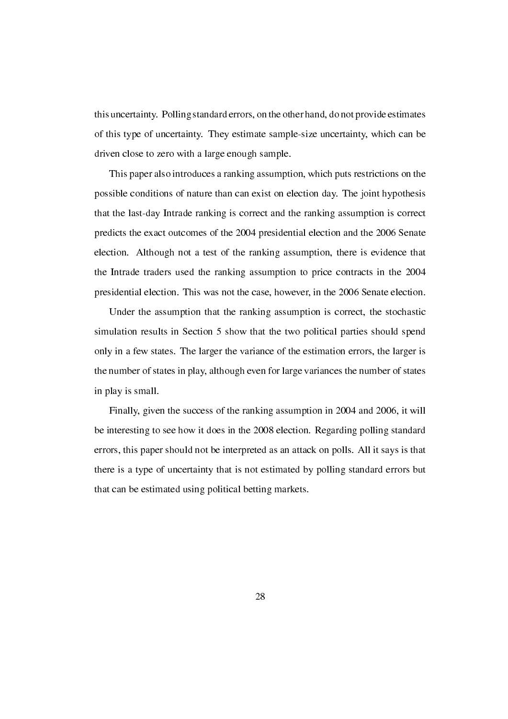this uncertainty. Polling standard errors, on the other hand, do not provide estimates of this type of uncertainty. They estimate sample-size uncertainty, which can be driven close to zero with a large enough sample.

This paper also introduces a ranking assumption, which puts restrictions on the possible conditions of nature than can exist on election day. The joint hypothesis that the last-day Intrade ranking is correct and the ranking assumption is correct predicts the exact outcomes of the 2004 presidential election and the 2006 Senate election. Although not a test of the ranking assumption, there is evidence that the Intrade traders used the ranking assumption to price contracts in the 2004 presidential election. This was not the case, however, in the 2006 Senate election.

Under the assumption that the ranking assumption is correct, the stochastic simulation results in Section 5 show that the two political parties should spend only in a few states. The larger the variance of the estimation errors, the larger is the number of states in play, although even for large variances the number of states in play is small.

Finally, given the success of the ranking assumption in 2004 and 2006, it will be interesting to see how it does in the 2008 election. Regarding polling standard errors, this paper should not be interpreted as an attack on polls. All it says is that there is a type of uncertainty that is not estimated by polling standard errors but that can be estimated using political betting markets.